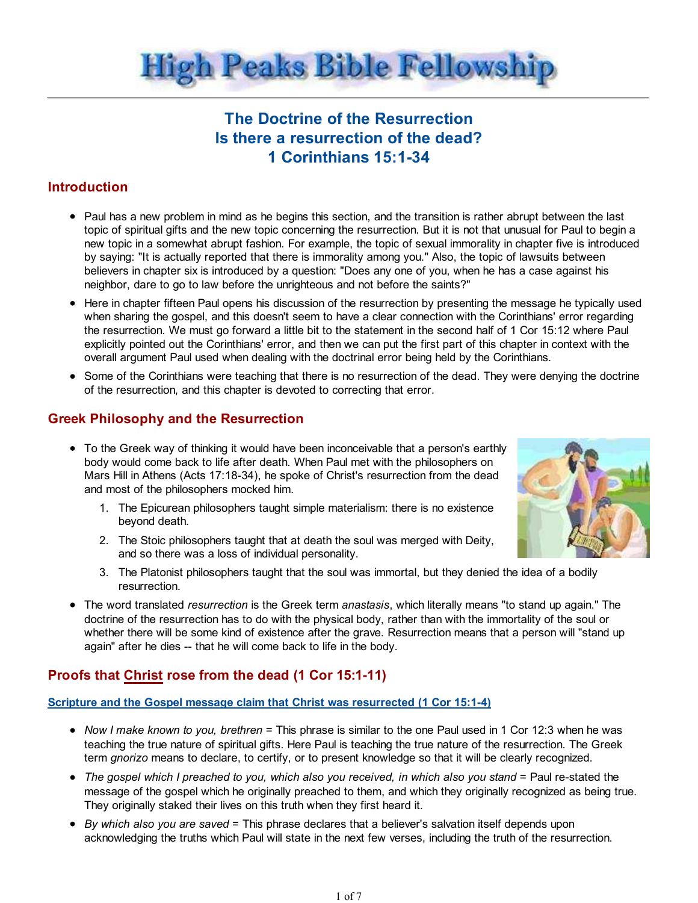

# The Doctrine of the Resurrection Is there a resurrection of the dead? 1 Corinthians 15:1-34

## **Introduction**

- Paul has a new problem in mind as he begins this section, and the transition is rather abrupt between the last topic of spiritual gifts and the new topic concerning the resurrection. But it is not that unusual for Paul to begin a new topic in a somewhat abrupt fashion. For example, the topic of sexual immorality in chapter five is introduced by saying: "It is actually reported that there is immorality among you." Also, the topic of lawsuits between believers in chapter six is introduced by a question: "Does any one of you, when he has a case against his neighbor, dare to go to law before the unrighteous and not before the saints?"
- Here in chapter fifteen Paul opens his discussion of the resurrection by presenting the message he typically used when sharing the gospel, and this doesn't seem to have a clear connection with the Corinthians' error regarding the resurrection. We must go forward a little bit to the statement in the second half of 1 Cor 15:12 where Paul explicitly pointed out the Corinthians' error, and then we can put the first part of this chapter in context with the overall argument Paul used when dealing with the doctrinal error being held by the Corinthians.
- Some of the Corinthians were teaching that there is no resurrection of the dead. They were denying the doctrine of the resurrection, and this chapter is devoted to correcting that error.

## Greek Philosophy and the Resurrection

- To the Greek way of thinking it would have been inconceivable that a person's earthly body would come back to life after death. When Paul met with the philosophers on Mars Hill in Athens (Acts 17:18-34), he spoke of Christ's resurrection from the dead and most of the philosophers mocked him.
	- The Epicurean philosophers taught simple materialism: there is no existence 1. beyond death.
	- The Stoic philosophers taught that at death the soul was merged with Deity, 2. and so there was a loss of individual personality.
	- The Platonist philosophers taught that the soul was immortal, but they denied the idea of a bodily 3. resurrection.
- The word translated *resurrection* is the Greek term *anastasis*, which literally means "to stand up again." The doctrine of the resurrection has to do with the physical body, rather than with the immortality of the soul or whether there will be some kind of existence after the grave. Resurrection means that a person will "stand up again" after he dies -- that he will come back to life in the body.

## Proofs that Christ rose from the dead (1 Cor 15:1-11)

## Scripture and the Gospel message claim that Christ was resurrected (1 Cor 15:1-4)

- Now I make known to you, brethren = This phrase is similar to the one Paul used in 1 Cor 12:3 when he was teaching the true nature of spiritual gifts. Here Paul is teaching the true nature of the resurrection. The Greek term gnorizo means to declare, to certify, or to present knowledge so that it will be clearly recognized.
- The gospel which I preached to you, which also you received, in which also you stand = Paul re-stated the message of the gospel which he originally preached to them, and which they originally recognized as being true. They originally staked their lives on this truth when they first heard it.
- $\bullet$  By which also you are saved = This phrase declares that a believer's salvation itself depends upon acknowledging the truths which Paul will state in the next few verses, including the truth of the resurrection.

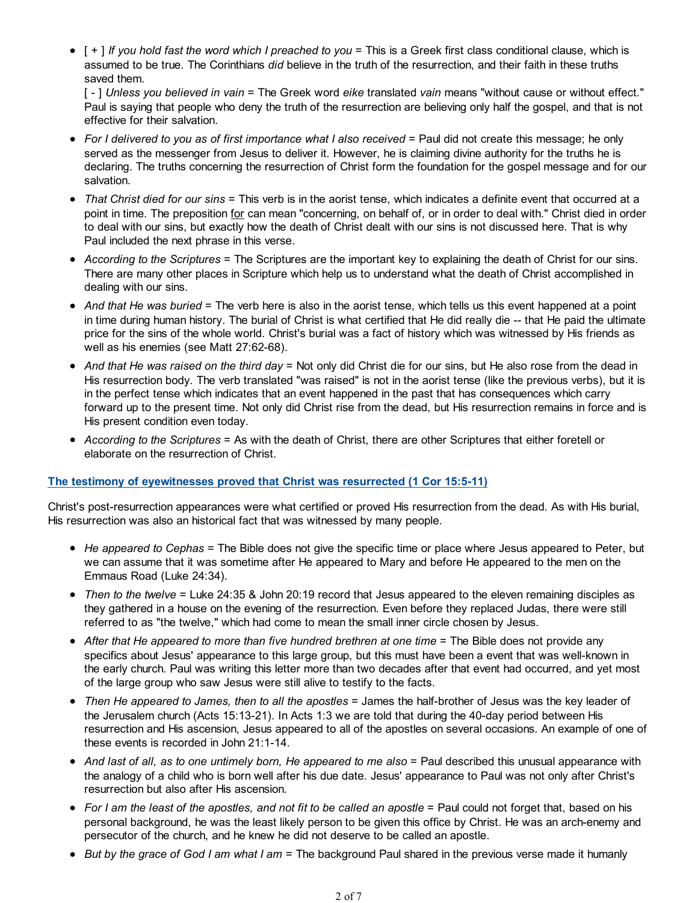$\bullet$  [ + ] If you hold fast the word which I preached to you = This is a Greek first class conditional clause, which is assumed to be true. The Corinthians did believe in the truth of the resurrection, and their faith in these truths saved them.

[ - ] Unless you believed in vain = The Greek word eike translated vain means "without cause or without effect." Paul is saying that people who deny the truth of the resurrection are believing only half the gospel, and that is not effective for their salvation.

- For I delivered to you as of first importance what I also received = Paul did not create this message; he only served as the messenger from Jesus to deliver it. However, he is claiming divine authority for the truths he is declaring. The truths concerning the resurrection of Christ form the foundation for the gospel message and for our salvation.
- That Christ died for our sins = This verb is in the aorist tense, which indicates a definite event that occurred at a point in time. The preposition for can mean "concerning, on behalf of, or in order to deal with." Christ died in order to deal with our sins, but exactly how the death of Christ dealt with our sins is not discussed here. That is why Paul included the next phrase in this verse.
- According to the Scriptures = The Scriptures are the important key to explaining the death of Christ for our sins. There are many other places in Scripture which help us to understand what the death of Christ accomplished in dealing with our sins.
- And that He was buried = The verb here is also in the aorist tense, which tells us this event happened at a point in time during human history. The burial of Christ is what certified that He did really die -- that He paid the ultimate price for the sins of the whole world. Christ's burial was a fact of history which was witnessed by His friends as well as his enemies (see Matt 27:62-68).
- And that He was raised on the third day = Not only did Christ die for our sins, but He also rose from the dead in His resurrection body. The verb translated "was raised" is not in the aorist tense (like the previous verbs), but it is in the perfect tense which indicates that an event happened in the past that has consequences which carry forward up to the present time. Not only did Christ rise from the dead, but His resurrection remains in force and is His present condition even today.
- According to the Scriptures = As with the death of Christ, there are other Scriptures that either foretell or elaborate on the resurrection of Christ.

#### The testimony of eyewitnesses proved that Christ was resurrected (1 Cor 15:5-11)

Christ's post-resurrection appearances were what certified or proved His resurrection from the dead. As with His burial, His resurrection was also an historical fact that was witnessed by many people.

- He appeared to Cephas = The Bible does not give the specific time or place where Jesus appeared to Peter, but we can assume that it was sometime after He appeared to Mary and before He appeared to the men on the Emmaus Road (Luke 24:34).
- Then to the twelve = Luke 24:35 & John 20:19 record that Jesus appeared to the eleven remaining disciples as they gathered in a house on the evening of the resurrection. Even before they replaced Judas, there were still referred to as "the twelve," which had come to mean the small inner circle chosen by Jesus.
- After that He appeared to more than five hundred brethren at one time = The Bible does not provide any specifics about Jesus' appearance to this large group, but this must have been a event that was well-known in the early church. Paul was writing this letter more than two decades after that event had occurred, and yet most of the large group who saw Jesus were still alive to testify to the facts.
- Then He appeared to James, then to all the apostles = James the half-brother of Jesus was the key leader of the Jerusalem church (Acts 15:13-21). In Acts 1:3 we are told that during the 40-day period between His resurrection and His ascension, Jesus appeared to all of the apostles on several occasions. An example of one of these events is recorded in John 21:1-14.
- And last of all, as to one untimely born, He appeared to me also = Paul described this unusual appearance with the analogy of a child who is born well after his due date. Jesus' appearance to Paul was not only after Christ's resurrection but also after His ascension.
- For I am the least of the apostles, and not fit to be called an apostle = Paul could not forget that, based on his personal background, he was the least likely person to be given this office by Christ. He was an arch-enemy and persecutor of the church, and he knew he did not deserve to be called an apostle.
- $\bullet$  But by the grace of God I am what I am = The background Paul shared in the previous verse made it humanly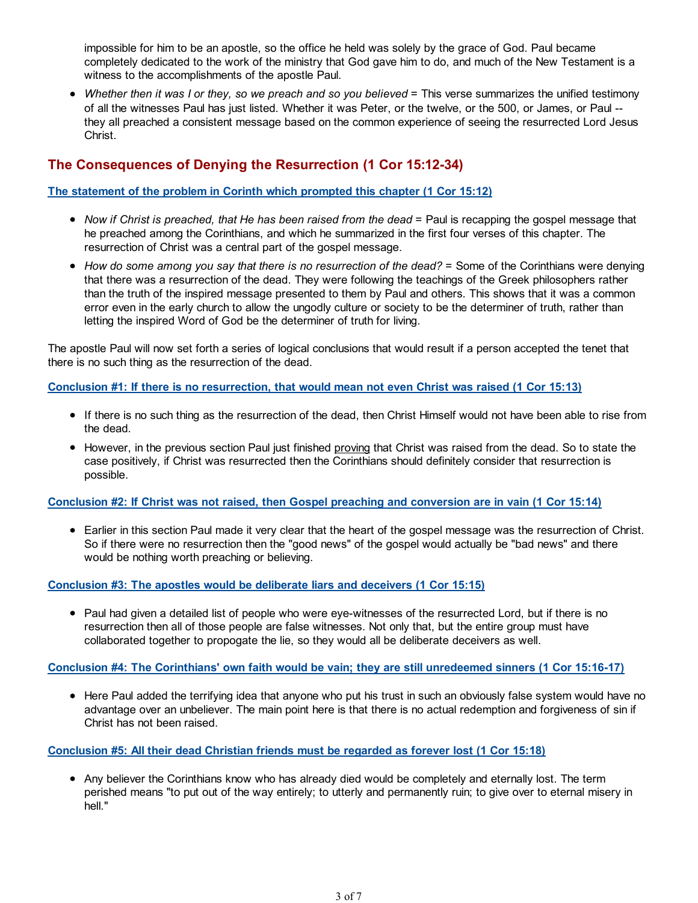impossible for him to be an apostle, so the office he held was solely by the grace of God. Paul became completely dedicated to the work of the ministry that God gave him to do, and much of the New Testament is a witness to the accomplishments of the apostle Paul.

• Whether then it was I or they, so we preach and so you believed = This verse summarizes the unified testimony of all the witnesses Paul has just listed. Whether it was Peter, or the twelve, or the 500, or James, or Paul - they all preached a consistent message based on the common experience of seeing the resurrected Lord Jesus Christ.

## The Consequences of Denying the Resurrection (1 Cor 15:12-34)

## The statement of the problem in Corinth which prompted this chapter (1 Cor 15:12)

- Now if Christ is preached, that He has been raised from the dead = Paul is recapping the gospel message that he preached among the Corinthians, and which he summarized in the first four verses of this chapter. The resurrection of Christ was a central part of the gospel message.
- How do some among you say that there is no resurrection of the dead? = Some of the Corinthians were denying that there was a resurrection of the dead. They were following the teachings of the Greek philosophers rather than the truth of the inspired message presented to them by Paul and others. This shows that it was a common error even in the early church to allow the ungodly culture or society to be the determiner of truth, rather than letting the inspired Word of God be the determiner of truth for living.

The apostle Paul will now set forth a series of logical conclusions that would result if a person accepted the tenet that there is no such thing as the resurrection of the dead.

Conclusion #1: If there is no resurrection, that would mean not even Christ was raised (1 Cor 15:13)

- If there is no such thing as the resurrection of the dead, then Christ Himself would not have been able to rise from the dead.
- However, in the previous section Paul just finished proving that Christ was raised from the dead. So to state the case positively, if Christ was resurrected then the Corinthians should definitely consider that resurrection is possible.

## Conclusion #2: If Christ was not raised, then Gospel preaching and conversion are in vain (1 Cor 15:14)

Earlier in this section Paul made it very clear that the heart of the gospel message was the resurrection of Christ. So if there were no resurrection then the "good news" of the gospel would actually be "bad news" and there would be nothing worth preaching or believing.

## Conclusion #3: The apostles would be deliberate liars and deceivers (1 Cor 15:15)

• Paul had given a detailed list of people who were eye-witnesses of the resurrected Lord, but if there is no resurrection then all of those people are false witnesses. Not only that, but the entire group must have collaborated together to propogate the lie, so they would all be deliberate deceivers as well.

## Conclusion #4: The Corinthians' own faith would be vain; they are still unredeemed sinners (1 Cor 15:16-17)

• Here Paul added the terrifying idea that anyone who put his trust in such an obviously false system would have no advantage over an unbeliever. The main point here is that there is no actual redemption and forgiveness of sin if Christ has not been raised.

## Conclusion #5: All their dead Christian friends must be regarded as forever lost (1 Cor 15:18)

Any believer the Corinthians know who has already died would be completely and eternally lost. The term perished means "to put out of the way entirely; to utterly and permanently ruin; to give over to eternal misery in hell."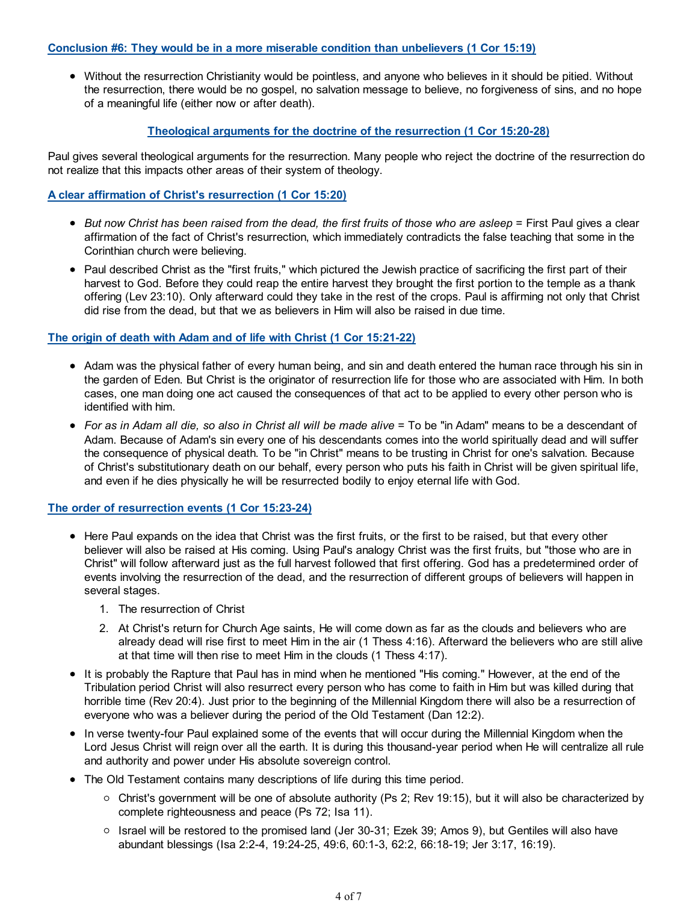#### Conclusion #6: They would be in a more miserable condition than unbelievers (1 Cor 15:19)

Without the resurrection Christianity would be pointless, and anyone who believes in it should be pitied. Without the resurrection, there would be no gospel, no salvation message to believe, no forgiveness of sins, and no hope of a meaningful life (either now or after death).

## Theological arguments for the doctrine of the resurrection (1 Cor 15:20-28)

Paul gives several theological arguments for the resurrection. Many people who reject the doctrine of the resurrection do not realize that this impacts other areas of their system of theology.

### A clear affirmation of Christ's resurrection (1 Cor 15:20)

- But now Christ has been raised from the dead, the first fruits of those who are asleep = First Paul gives a clear affirmation of the fact of Christ's resurrection, which immediately contradicts the false teaching that some in the Corinthian church were believing.
- Paul described Christ as the "first fruits," which pictured the Jewish practice of sacrificing the first part of their harvest to God. Before they could reap the entire harvest they brought the first portion to the temple as a thank offering (Lev 23:10). Only afterward could they take in the rest of the crops. Paul is affirming not only that Christ did rise from the dead, but that we as believers in Him will also be raised in due time.

#### The origin of death with Adam and of life with Christ (1 Cor 15:21-22)

- Adam was the physical father of every human being, and sin and death entered the human race through his sin in the garden of Eden. But Christ is the originator of resurrection life for those who are associated with Him. In both cases, one man doing one act caused the consequences of that act to be applied to every other person who is identified with him.
- For as in Adam all die, so also in Christ all will be made alive = To be "in Adam" means to be a descendant of Adam. Because of Adam's sin every one of his descendants comes into the world spiritually dead and will suffer the consequence of physical death. To be "in Christ" means to be trusting in Christ for one's salvation. Because of Christ's substitutionary death on our behalf, every person who puts his faith in Christ will be given spiritual life, and even if he dies physically he will be resurrected bodily to enjoy eternal life with God.

#### The order of resurrection events (1 Cor 15:23-24)

- Here Paul expands on the idea that Christ was the first fruits, or the first to be raised, but that every other believer will also be raised at His coming. Using Paul's analogy Christ was the first fruits, but "those who are in Christ" will follow afterward just as the full harvest followed that first offering. God has a predetermined order of events involving the resurrection of the dead, and the resurrection of different groups of believers will happen in several stages.
	- 1. The resurrection of Christ
	- 2. At Christ's return for Church Age saints, He will come down as far as the clouds and believers who are already dead will rise first to meet Him in the air (1 Thess 4:16). Afterward the believers who are still alive at that time will then rise to meet Him in the clouds (1 Thess 4:17).
- It is probably the Rapture that Paul has in mind when he mentioned "His coming." However, at the end of the Tribulation period Christ will also resurrect every person who has come to faith in Him but was killed during that horrible time (Rev 20:4). Just prior to the beginning of the Millennial Kingdom there will also be a resurrection of everyone who was a believer during the period of the Old Testament (Dan 12:2).
- In verse twenty-four Paul explained some of the events that will occur during the Millennial Kingdom when the Lord Jesus Christ will reign over all the earth. It is during this thousand-year period when He will centralize all rule and authority and power under His absolute sovereign control.
- The Old Testament contains many descriptions of life during this time period.
	- $\circ$  Christ's government will be one of absolute authority (Ps 2; Rev 19:15), but it will also be characterized by complete righteousness and peace (Ps 72; Isa 11).
	- Israel will be restored to the promised land (Jer 30-31; Ezek 39; Amos 9), but Gentiles will also have abundant blessings (Isa 2:2-4, 19:24-25, 49:6, 60:1-3, 62:2, 66:18-19; Jer 3:17, 16:19).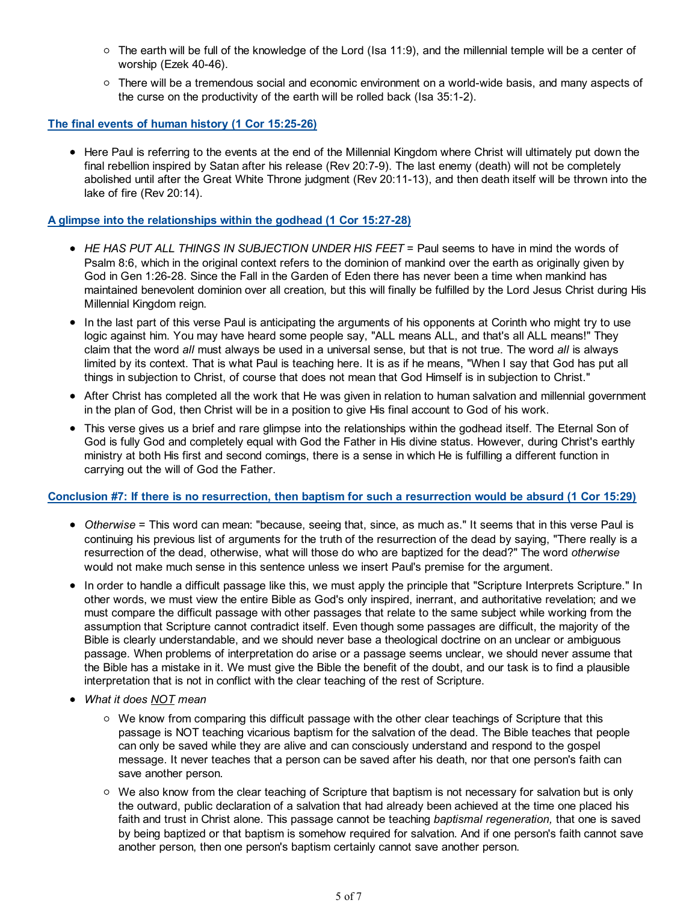- $\circ$  The earth will be full of the knowledge of the Lord (Isa 11:9), and the millennial temple will be a center of worship (Ezek 40-46).
- $\circ$  There will be a tremendous social and economic environment on a world-wide basis, and many aspects of the curse on the productivity of the earth will be rolled back (Isa 35:1-2).

#### The final events of human history (1 Cor 15:25-26)

• Here Paul is referring to the events at the end of the Millennial Kingdom where Christ will ultimately put down the final rebellion inspired by Satan after his release (Rev 20:7-9). The last enemy (death) will not be completely abolished until after the Great White Throne judgment (Rev 20:11-13), and then death itself will be thrown into the lake of fire (Rev 20:14).

#### A glimpse into the relationships within the godhead (1 Cor 15:27-28)

- $\bullet$  HE HAS PUT ALL THINGS IN SUBJECTION UNDER HIS FEET = Paul seems to have in mind the words of Psalm 8:6, which in the original context refers to the dominion of mankind over the earth as originally given by God in Gen 1:26-28. Since the Fall in the Garden of Eden there has never been a time when mankind has maintained benevolent dominion over all creation, but this will finally be fulfilled by the Lord Jesus Christ during His Millennial Kingdom reign.
- In the last part of this verse Paul is anticipating the arguments of his opponents at Corinth who might try to use logic against him. You may have heard some people say, "ALL means ALL, and that's all ALL means!" They claim that the word all must always be used in a universal sense, but that is not true. The word all is always limited by its context. That is what Paul is teaching here. It is as if he means, "When I say that God has put all things in subjection to Christ, of course that does not mean that God Himself is in subjection to Christ."
- After Christ has completed all the work that He was given in relation to human salvation and millennial government in the plan of God, then Christ will be in a position to give His final account to God of his work.
- This verse gives us a brief and rare glimpse into the relationships within the godhead itself. The Eternal Son of God is fully God and completely equal with God the Father in His divine status. However, during Christ's earthly ministry at both His first and second comings, there is a sense in which He is fulfilling a different function in carrying out the will of God the Father.

#### Conclusion #7: If there is no resurrection, then baptism for such a resurrection would be absurd (1 Cor 15:29)

- Otherwise = This word can mean: "because, seeing that, since, as much as." It seems that in this verse Paul is continuing his previous list of arguments for the truth of the resurrection of the dead by saying, "There really is a resurrection of the dead, otherwise, what will those do who are baptized for the dead?" The word otherwise would not make much sense in this sentence unless we insert Paul's premise for the argument.
- In order to handle a difficult passage like this, we must apply the principle that "Scripture Interprets Scripture." In other words, we must view the entire Bible as God's only inspired, inerrant, and authoritative revelation; and we must compare the difficult passage with other passages that relate to the same subject while working from the assumption that Scripture cannot contradict itself. Even though some passages are difficult, the majority of the Bible is clearly understandable, and we should never base a theological doctrine on an unclear or ambiguous passage. When problems of interpretation do arise or a passage seems unclear, we should never assume that the Bible has a mistake in it. We must give the Bible the benefit of the doubt, and our task is to find a plausible interpretation that is not in conflict with the clear teaching of the rest of Scripture.
- What it does NOT mean
	- $\circ$  We know from comparing this difficult passage with the other clear teachings of Scripture that this passage is NOT teaching vicarious baptism for the salvation of the dead. The Bible teaches that people can only be saved while they are alive and can consciously understand and respond to the gospel message. It never teaches that a person can be saved after his death, nor that one person's faith can save another person.
	- $\circ$  We also know from the clear teaching of Scripture that baptism is not necessary for salvation but is only the outward, public declaration of a salvation that had already been achieved at the time one placed his faith and trust in Christ alone. This passage cannot be teaching baptismal regeneration, that one is saved by being baptized or that baptism is somehow required for salvation. And if one person's faith cannot save another person, then one person's baptism certainly cannot save another person.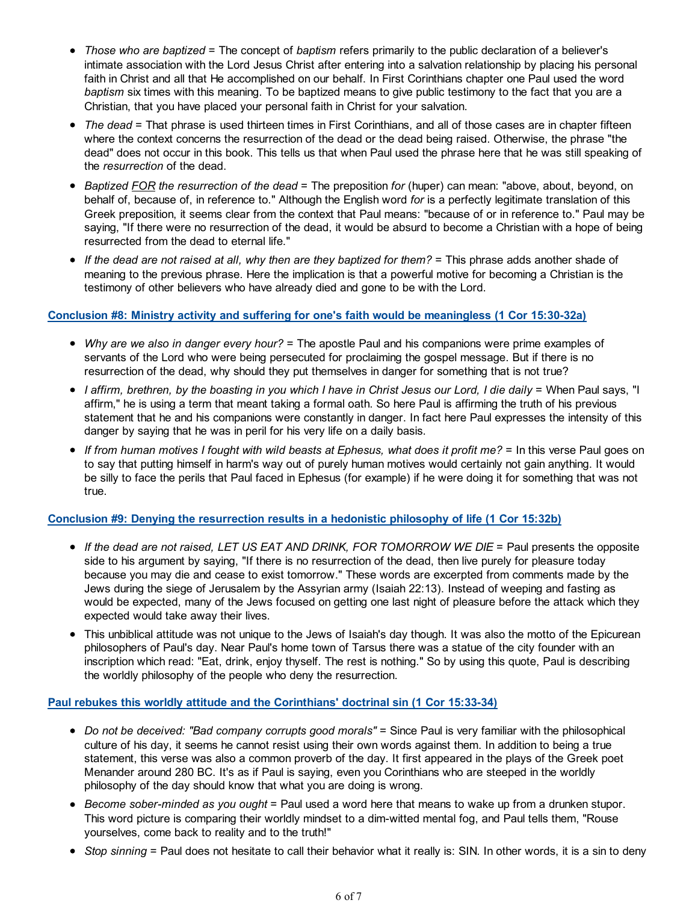- Those who are baptized = The concept of baptism refers primarily to the public declaration of a believer's intimate association with the Lord Jesus Christ after entering into a salvation relationship by placing his personal faith in Christ and all that He accomplished on our behalf. In First Corinthians chapter one Paul used the word baptism six times with this meaning. To be baptized means to give public testimony to the fact that you are a Christian, that you have placed your personal faith in Christ for your salvation.
- The dead = That phrase is used thirteen times in First Corinthians, and all of those cases are in chapter fifteen where the context concerns the resurrection of the dead or the dead being raised. Otherwise, the phrase "the dead" does not occur in this book. This tells us that when Paul used the phrase here that he was still speaking of the resurrection of the dead.
- Baptized FOR the resurrection of the dead = The preposition for (huper) can mean: "above, about, beyond, on behalf of, because of, in reference to." Although the English word for is a perfectly legitimate translation of this Greek preposition, it seems clear from the context that Paul means: "because of or in reference to." Paul may be saying, "If there were no resurrection of the dead, it would be absurd to become a Christian with a hope of being resurrected from the dead to eternal life."
- If the dead are not raised at all, why then are they baptized for them? = This phrase adds another shade of meaning to the previous phrase. Here the implication is that a powerful motive for becoming a Christian is the testimony of other believers who have already died and gone to be with the Lord.

#### Conclusion #8: Ministry activity and suffering for one's faith would be meaningless (1 Cor 15:30-32a)

- Why are we also in danger every hour? = The apostle Paul and his companions were prime examples of servants of the Lord who were being persecuted for proclaiming the gospel message. But if there is no resurrection of the dead, why should they put themselves in danger for something that is not true?
- I affirm, brethren, by the boasting in you which I have in Christ Jesus our Lord, I die daily = When Paul says, "I affirm," he is using a term that meant taking a formal oath. So here Paul is affirming the truth of his previous statement that he and his companions were constantly in danger. In fact here Paul expresses the intensity of this danger by saying that he was in peril for his very life on a daily basis.
- If from human motives I fought with wild beasts at Ephesus, what does it profit me? = In this verse Paul goes on to say that putting himself in harm's way out of purely human motives would certainly not gain anything. It would be silly to face the perils that Paul faced in Ephesus (for example) if he were doing it for something that was not true.

## Conclusion #9: Denying the resurrection results in a hedonistic philosophy of life (1 Cor 15:32b)

- If the dead are not raised, LET US EAT AND DRINK, FOR TOMORROW WE DIE = Paul presents the opposite side to his argument by saying, "If there is no resurrection of the dead, then live purely for pleasure today because you may die and cease to exist tomorrow." These words are excerpted from comments made by the Jews during the siege of Jerusalem by the Assyrian army (Isaiah 22:13). Instead of weeping and fasting as would be expected, many of the Jews focused on getting one last night of pleasure before the attack which they expected would take away their lives.
- This unbiblical attitude was not unique to the Jews of Isaiah's day though. It was also the motto of the Epicurean philosophers of Paul's day. Near Paul's home town of Tarsus there was a statue of the city founder with an inscription which read: "Eat, drink, enjoy thyself. The rest is nothing." So by using this quote, Paul is describing the worldly philosophy of the people who deny the resurrection.

## Paul rebukes this worldly attitude and the Corinthians' doctrinal sin (1 Cor 15:33-34)

- Do not be deceived: "Bad company corrupts good morals" = Since Paul is very familiar with the philosophical culture of his day, it seems he cannot resist using their own words against them. In addition to being a true statement, this verse was also a common proverb of the day. It first appeared in the plays of the Greek poet Menander around 280 BC. It's as if Paul is saying, even you Corinthians who are steeped in the worldly philosophy of the day should know that what you are doing is wrong.
- $\bullet$  Become sober-minded as you ought = Paul used a word here that means to wake up from a drunken stupor. This word picture is comparing their worldly mindset to a dim-witted mental fog, and Paul tells them, "Rouse yourselves, come back to reality and to the truth!"
- Stop sinning = Paul does not hesitate to call their behavior what it really is: SIN. In other words, it is a sin to deny